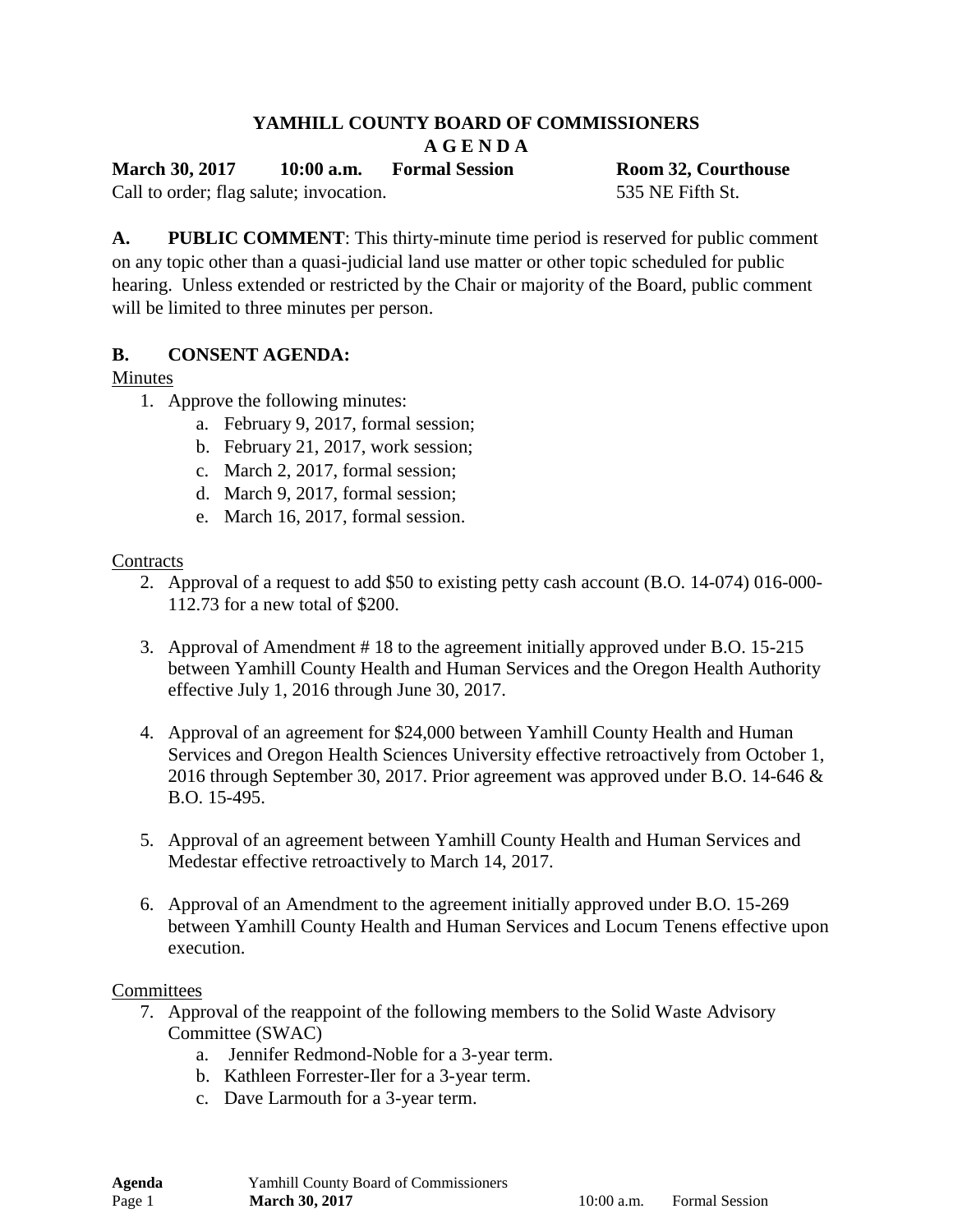# **YAMHILL COUNTY BOARD OF COMMISSIONERS**

**A G E N D A** 

**March 30, 2017 10:00 a.m. Formal Session Room 32, Courthouse**

Call to order; flag salute; invocation. 535 NE Fifth St.

**A. PUBLIC COMMENT**: This thirty-minute time period is reserved for public comment on any topic other than a quasi-judicial land use matter or other topic scheduled for public hearing. Unless extended or restricted by the Chair or majority of the Board, public comment will be limited to three minutes per person.

# **B. CONSENT AGENDA:**

# Minutes

- 1. Approve the following minutes:
	- a. February 9, 2017, formal session;
	- b. February 21, 2017, work session;
	- c. March 2, 2017, formal session;
	- d. March 9, 2017, formal session;
	- e. March 16, 2017, formal session.

## **Contracts**

- 2. Approval of a request to add \$50 to existing petty cash account (B.O. 14-074) 016-000- 112.73 for a new total of \$200.
- 3. Approval of Amendment # 18 to the agreement initially approved under B.O. 15-215 between Yamhill County Health and Human Services and the Oregon Health Authority effective July 1, 2016 through June 30, 2017.
- 4. Approval of an agreement for \$24,000 between Yamhill County Health and Human Services and Oregon Health Sciences University effective retroactively from October 1, 2016 through September 30, 2017. Prior agreement was approved under B.O. 14-646 & B.O. 15-495.
- 5. Approval of an agreement between Yamhill County Health and Human Services and Medestar effective retroactively to March 14, 2017.
- 6. Approval of an Amendment to the agreement initially approved under B.O. 15-269 between Yamhill County Health and Human Services and Locum Tenens effective upon execution.

#### **Committees**

- 7. Approval of the reappoint of the following members to the Solid Waste Advisory Committee (SWAC)
	- a. Jennifer Redmond-Noble for a 3-year term.
	- b. Kathleen Forrester-Iler for a 3-year term.
	- c. Dave Larmouth for a 3-year term.